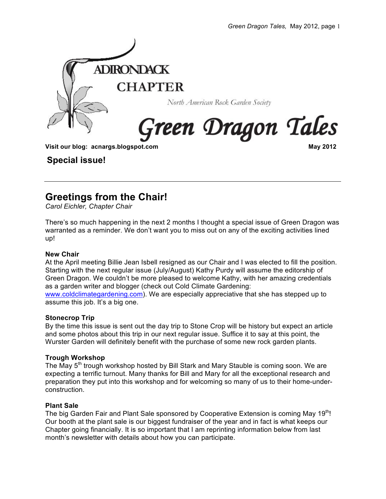

### **Special issue!**

## **Greetings from the Chair!**

*Carol Eichler, Chapter Chair*

There's so much happening in the next 2 months I thought a special issue of Green Dragon was warranted as a reminder. We don't want you to miss out on any of the exciting activities lined up!

#### **New Chair**

At the April meeting Billie Jean Isbell resigned as our Chair and I was elected to fill the position. Starting with the next regular issue (July/August) Kathy Purdy will assume the editorship of Green Dragon. We couldn't be more pleased to welcome Kathy, with her amazing credentials as a garden writer and blogger (check out Cold Climate Gardening: www.coldclimategardening.com). We are especially appreciative that she has stepped up to assume this job. It's a big one.

#### **Stonecrop Trip**

By the time this issue is sent out the day trip to Stone Crop will be history but expect an article and some photos about this trip in our next regular issue. Suffice it to say at this point, the Wurster Garden will definitely benefit with the purchase of some new rock garden plants.

#### **Trough Workshop**

The May 5<sup>th</sup> trough workshop hosted by Bill Stark and Mary Stauble is coming soon. We are expecting a terrific turnout. Many thanks for Bill and Mary for all the exceptional research and preparation they put into this workshop and for welcoming so many of us to their home-underconstruction.

#### **Plant Sale**

The big Garden Fair and Plant Sale sponsored by Cooperative Extension is coming May 19<sup>th</sup>! Our booth at the plant sale is our biggest fundraiser of the year and in fact is what keeps our Chapter going financially. It is so important that I am reprinting information below from last month's newsletter with details about how you can participate.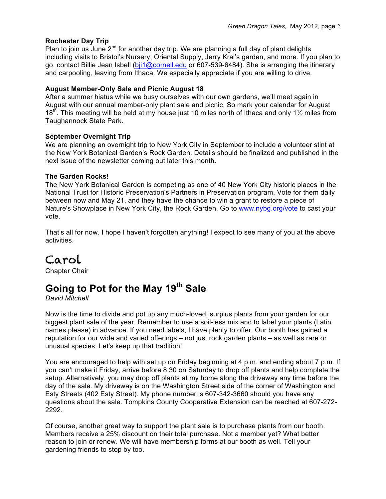#### **Rochester Day Trip**

Plan to join us June  $2^{nd}$  for another day trip. We are planning a full day of plant delights including visits to Bristol's Nursery, Oriental Supply, Jerry Kral's garden, and more. If you plan to go, contact Billie Jean Isbell (bji1@cornell.edu or 607-539-6484). She is arranging the itinerary and carpooling, leaving from Ithaca. We especially appreciate if you are willing to drive.

#### **August Member-Only Sale and Picnic August 18**

After a summer hiatus while we busy ourselves with our own gardens, we'll meet again in August with our annual member-only plant sale and picnic. So mark your calendar for August  $18<sup>th</sup>$ . This meeting will be held at my house just 10 miles north of Ithaca and only 1<sup>1</sup>/<sub>2</sub> miles from Taughannock State Park.

#### **September Overnight Trip**

We are planning an overnight trip to New York City in September to include a volunteer stint at the New York Botanical Garden's Rock Garden. Details should be finalized and published in the next issue of the newsletter coming out later this month.

#### **The Garden Rocks!**

The New York Botanical Garden is competing as one of 40 New York City historic places in the National Trust for Historic Preservation's Partners in Preservation program. Vote for them daily between now and May 21, and they have the chance to win a grant to restore a piece of Nature's Showplace in New York City, the Rock Garden. Go to www.nybg.org/vote to cast your vote.

That's all for now. I hope I haven't forgotten anything! I expect to see many of you at the above activities.

# Carol

Chapter Chair

## **Going to Pot for the May 19th Sale**

*David Mitchell*

Now is the time to divide and pot up any much-loved, surplus plants from your garden for our biggest plant sale of the year. Remember to use a soil-less mix and to label your plants (Latin names please) in advance. If you need labels, I have plenty to offer. Our booth has gained a reputation for our wide and varied offerings – not just rock garden plants – as well as rare or unusual species. Let's keep up that tradition!

You are encouraged to help with set up on Friday beginning at 4 p.m. and ending about 7 p.m. If you can't make it Friday, arrive before 8:30 on Saturday to drop off plants and help complete the setup. Alternatively, you may drop off plants at my home along the driveway any time before the day of the sale. My driveway is on the Washington Street side of the corner of Washington and Esty Streets (402 Esty Street). My phone number is 607-342-3660 should you have any questions about the sale. Tompkins County Cooperative Extension can be reached at 607-272- 2292.

Of course, another great way to support the plant sale is to purchase plants from our booth. Members receive a 25% discount on their total purchase. Not a member yet? What better reason to join or renew. We will have membership forms at our booth as well. Tell your gardening friends to stop by too.